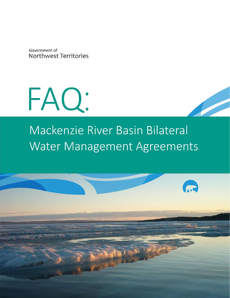Government of Northwest Territories



# Mackenzie River Basin Bilateral Water Management Agreements

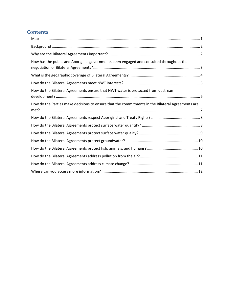# **Contents**

| How has the public and Aboriginal governments been engaged and consulted throughout the          |  |
|--------------------------------------------------------------------------------------------------|--|
|                                                                                                  |  |
|                                                                                                  |  |
| How do the Bilateral Agreements ensure that NWT water is protected from upstream                 |  |
| How do the Parties make decisions to ensure that the commitments in the Bilateral Agreements are |  |
|                                                                                                  |  |
|                                                                                                  |  |
|                                                                                                  |  |
|                                                                                                  |  |
|                                                                                                  |  |
|                                                                                                  |  |
|                                                                                                  |  |
|                                                                                                  |  |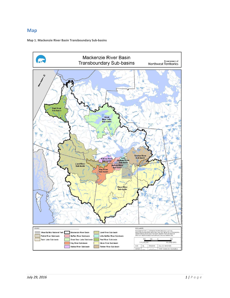#### **Map**

#### **Map 1. Mackenzie River Basin Transboundary Sub‐basins**

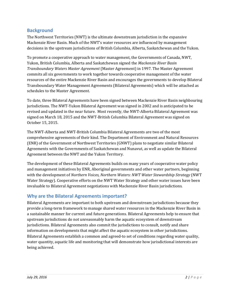## **Background**

The Northwest Territories (NWT) is the ultimate downstream jurisdiction in the expansive Mackenzie River Basin. Much of the NWT's water resources are influenced by management decisions in the upstream jurisdictions of British Columbia, Alberta, Saskatchewan and the Yukon.

To promote a cooperative approach to water management, the Governments of Canada, NWT, Yukon, British Columbia, Alberta and Saskatchewan signed the *Mackenzie River Basin Transboundary Waters Master Agreement* (Master Agreement) in 1997. The Master Agreement commits all six governments to work together towards cooperative management of the water resources of the entire Mackenzie River Basin and encourages the governments to develop Bilateral Transboundary Water Management Agreements (Bilateral Agreements) which will be attached as schedules to the Master Agreement.

To date, three Bilateral Agreements have been signed between Mackenzie River Basin neighbouring jurisdictions. The NWT-Yukon Bilateral Agreement was signed in 2002 and is anticipated to be revised and updated in the near future. Most recently, the NWT-Alberta Bilateral Agreement was signed on March 18, 2015 and the NWT-British Columbia Bilateral Agreement was signed on October 15, 2015.

The NWT-Alberta and NWT-British Columbia Bilateral Agreements are two of the most comprehensive agreements of their kind. The Department of Environment and Natural Resources (ENR) of the Government of Northwest Territories (GNWT) plans to negotiate similar Bilateral Agreements with the Governments of Saskatchewan and Nunavut, as well as update the Bilateral Agreement between the NWT and the Yukon Territory.

The development of these Bilateral Agreements builds on many years of cooperative water policy and management initiatives by ENR, Aboriginal governments and other water partners, beginning with the development of *Northern Voices, Northern Waters: NWT Water Stewardship Strategy* (NWT Water Strategy). Cooperative efforts on the NWT Water Strategy and other water issues have been invaluable to Bilateral Agreement negotiations with Mackenzie River Basin jurisdictions.

## **Why are the Bilateral Agreements important?**

Bilateral Agreements are important to both upstream and downstream jurisdictions because they provide a long-term framework to manage shared water resources in the Mackenzie River Basin in a sustainable manner for current and future generations. Bilateral Agreements help to ensure that upstream jurisdictions do not unreasonably harm the aquatic ecosystem of downstream jurisdictions. Bilateral Agreements also commit the jurisdictions to consult, notify and share information on developments that might affect the aquatic ecosystem in other jurisdictions. Bilateral Agreements establish a common and agreed-to set of conditions regarding water quality, water quantity, aquatic life and monitoring that will demonstrate how jurisdictional interests are being achieved.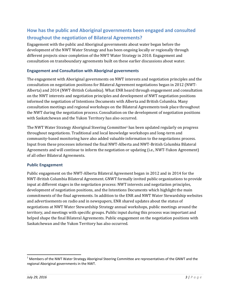## **How has the public and Aboriginal governments been engaged and consulted throughout the negotiation of Bilateral Agreements?**

Engagement with the public and Aboriginal governments about water began before the development of the NWT Water Strategy and has been ongoing locally or regionally through different projects since completion of the NWT Water Strategy in 2010. Engagement and consultation on transboundary agreements built on these earlier discussions about water.

#### **Engagement and Consultation with Aboriginal governments**

The engagement with Aboriginal governments on NWT interests and negotiation principles and the consultation on negotiation positions for Bilateral Agreement negotiations began in 2012 (NWT-Alberta) and  $2014$  (NWT-British Columbia). What ENR heard through engagement and consultation on the NWT interests and negotiation principles and development of NWT negotiation positions informed the negotiation of Intentions Documents with Alberta and British Columbia. Many consultation meetings and regional workshops on the Bilateral Agreements took place throughout the NWT during the negotiation process. Consultation on the development of negotiation positions with Saskatchewan and the Yukon Territory has also occurred.

The NWT Water Strategy Aboriginal Steering Committee<sup>1</sup> has been updated regularly on progress throughout negotiations. Traditional and local knowledge workshops and long-term and community-based monitoring have also added valuable information to the negotiations process. Input from these processes informed the final NWT-Alberta and NWT-British Columbia Bilateral Agreements and will continue to inform the negotiation or updating (i.e., NWT-Yukon Agreement) of all other Bilateral Agreements.

#### **Public Engagement**

Public engagement on the NWT-Alberta Bilateral Agreement began in 2012 and in 2014 for the NWT-British Columbia Bilateral Agreement. GNWT formally invited public organizations to provide input at different stages in the negotiation process: NWT interests and negotiation principles, development of negotiation positions, and the Intentions Documents which highlight the main commitments of the final agreements. In addition to the ENR and NWT Water Stewardship websites and advertisements on radio and in newspapers, ENR shared updates about the status of negotiations at NWT Water Stewardship Strategy annual workshops, public meetings around the territory, and meetings with specific groups. Public input during this process was important and helped shape the final Bilateral Agreements. Public engagement on the negotiation positions with Saskatchewan and the Yukon Territory has also occurred.

<sup>&</sup>lt;sup>1</sup> Members of the NWT Water Strategy Aboriginal Steering Committee are representatives of the GNWT and the regional Aboriginal governments in the NWT.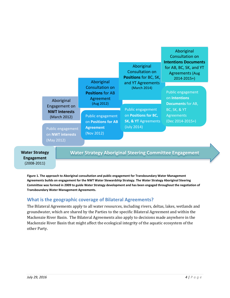

**Figure 1. The approach to Aboriginal consultation and public engagement for Transboundary Water Management Agreements builds on engagement for the NWT Water Stewardship Strategy. The Water Strategy Aboriginal Steering** Committee was formed in 2009 to guide Water Strategy development and has been engaged throughout the negotiation of **Transboundary Water Management Agreements.**

## **What is the geographic coverage of Bilateral Agreements?**

The Bilateral Agreements apply to all water resources, including rivers, deltas, lakes, wetlands and groundwater, which are shared by the Parties to the specific Bilateral Agreement and within the Mackenzie River Basin. The Bilateral Agreements also apply to decisions made anywhere in the Mackenzie River Basin that might affect the ecological integrity of the aquatic ecosystem of the other Party.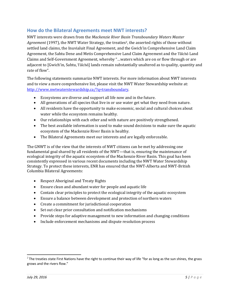#### **How do the Bilateral Agreements meet NWT interests?**

NWT interests were drawn from the *Mackenzie River Basin Transboundary Waters Master Agreement* (1997), the NWT Water Strategy, the treaties<sup>2</sup>, the asserted rights of those without settled land claims, the Inuvialuit Final Agreement, and the Gwich'in Comprehensive Land Claim Agreement, the Sahtu Dene and Metis Comprehensive Land Claim Agreement and the Tåîchô Land Claims and Self-Government Agreement, whereby "...waters which are on or flow through or are adjacent to [Gwich'in, Sahtu, Tåîchô] lands remain substantially unaltered as to quality, quantity and rate of flow".

The following statements summarize NWT interests. For more information about NWT interests and to view a more comprehensive list, please visit the NWT Water Stewardship website at: http://www.nwtwaterstewardship.ca/?q=transboundary. 

- Ecosystems are diverse and support all life now and in the future.
- All generations of all species that live in or use water get what they need from nature.
- All residents have the opportunity to make economic, social and cultural choices about water while the ecosystem remains healthy.
- Our relationships with each other and with nature are positively strengthened.
- The best available information is used to make sound decisions to make sure the aquatic ecosystem of the Mackenzie River Basin is healthy.
- The Bilateral Agreements meet our interests and are legally enforceable.

The GNWT is of the view that the interests of NWT citizens can be met by addressing one fundamental goal shared by all residents of the NWT—that is, ensuring the maintenance of ecological integrity of the aquatic ecosystem of the Mackenzie River Basin. This goal has been consistently expressed in various recent documents including the NWT Water Stewardship Strategy. To protect these interests, ENR has ensured that the NWT-Alberta and NWT-British Columbia Bilateral Agreements: 

- Respect Aboriginal and Treaty Rights
- Ensure clean and abundant water for people and aquatic life
- Contain clear principles to protect the ecological integrity of the aquatic ecosystem
- Ensure a balance between development and protection of northern waters
- Create a commitment for jurisdictional cooperation
- Set out clear prior consultation and notification mechanisms
- Provide steps for adaptive management to new information and changing conditions
- Include enforcement mechanisms and dispute resolution process

 $2$  The treaties state First Nations have the right to continue their way of life "for as long as the sun shines, the grass grows and the rivers flow."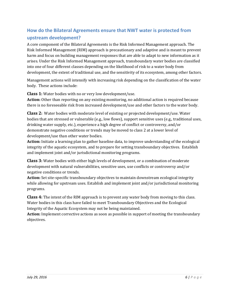## **How do the Bilateral Agreements ensure that NWT water is protected from upstream development?**

A core component of the Bilateral Agreements is the Risk Informed Management approach. The Risk Informed Management (RIM) approach is precautionary and adaptive and is meant to prevent harm and focus on building management responses that are able to adapt to new information as it arises. Under the Risk Informed Management approach, transboundary water bodies are classified into one of four different classes depending on the likelihood of risk to a water body from development, the extent of traditional use, and the sensitivity of its ecosystem, among other factors.

Management actions will intensify with increasing risk depending on the classification of the water body. These actions include:

**Class 1:** Water bodies with no or very low development/use.

**Action:** Other than reporting on any existing monitoring, no additional action is required because there is no foreseeable risk from increased development/use and other factors to the water body.

**Class 2:** Water bodies with moderate level of existing or projected development/use. Water bodies that are stressed or vulnerable (e.g., low flows), support sensitive uses (e.g., traditional uses, drinking water supply, etc.), experience a high degree of conflict or controversy, and/or demonstrate negative conditions or trends may be moved to class 2 at a lower level of development/use than other water bodies.

**Action:** Initiate a learning plan to gather baseline data, to improve understanding of the ecological integrity of the aquatic ecosystem, and to prepare for setting transboundary objectives. Establish and implement joint and/or jurisdictional monitoring programs.

**Class 3:** Water bodies with either high levels of development, or a combination of moderate development with natural vulnerabilities, sensitive uses, use conflicts or controversy and/or negative conditions or trends.

Action: Set site-specific transboundary objectives to maintain downstream ecological integrity while allowing for upstream uses. Establish and implement joint and/or jurisdictional monitoring programs. 

**Class 4:** The intent of the RIM approach is to prevent any water body from moving to this class. Water bodies in this class have failed to meet Transboundary Objectives and the Ecological Integrity of the Aquatic Ecosystem may not be being maintained.

**Action:** Implement corrective actions as soon as possible in support of meeting the transboundary objectives.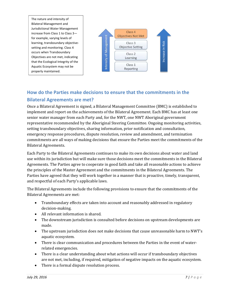The nature and intensity of Bilateral Management and Jurisdictional Water Management increase from Class 1 to Class 3 for example, varying levels of learning, transboundary objective‐ setting and monitoring. Class 4 occurs when Transboundary Objectives are not met, indicating that the Ecological Integrity of the Aquatic Ecosystem may not be



# **How do the Parties make decisions to ensure that the commitments in the Bilateral Agreements are met?**

Once a Bilateral Agreement is signed, a Bilateral Management Committee (BMC) is established to implement and report on the achievements of the Bilateral Agreement. Each BMC has at least one senior water manager from each Party and, for the NWT, one NWT Aboriginal government representative recommended by the Aboriginal Steering Committee. Ongoing monitoring activities, setting transboundary objectives, sharing information, prior notification and consultation, emergency response procedures, dispute resolution, review and amendment, and termination commitments are all ways of making decisions that ensure the Parties meet the commitments of the Bilateral Agreements.

Each Party to the Bilateral Agreements continues to make its own decisions about water and land use within its jurisdiction but will make sure those decisions meet the commitments in the Bilateral Agreements. The Parties agree to cooperate in good faith and take all reasonable actions to achieve the principles of the Master Agreement and the commitments in the Bilateral Agreements. The Parties have agreed that they will work together in a manner that is proactive, timely, transparent, and respectful of each Party's applicable laws.

The Bilateral Agreements include the following provisions to ensure that the commitments of the Bilateral Agreements are met:

- Transboundary effects are taken into account and reasonably addressed in regulatory decision‐making.
- $\bullet$  All relevant information is shared.
- The downstream jurisdiction is consulted before decisions on upstream developments are made.
- The upstream jurisdiction does not make decisions that cause unreasonable harm to NWT's aquatic ecosystem.
- There is clear communication and procedures between the Parties in the event of waterrelated emergencies.
- There is a clear understanding about what actions will occur if transboundary objectives are not met, including, if required, mitigation of negative impacts on the aquatic ecosystem.
- $\bullet$  There is a formal dispute resolution process.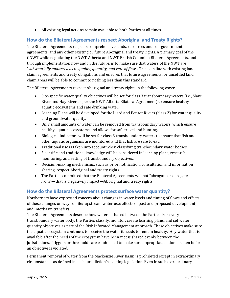• All existing legal actions remain available to both Parties at all times.

## **How do the Bilateral Agreements respect Aboriginal and Treaty Rights?**

The Bilateral Agreements respects comprehensive lands, resources and self-government agreements, and any other existing or future Aboriginal and treaty rights. A primary goal of the GNWT while negotiating the NWT-Alberta and NWT-British Columbia Bilateral Agreements, and through implementation now and in the future, is to make sure that waters of the NWT are "*substantially unaltered as to quality, quantity, and rate of flow*". This is in line with existing land claim agreements and treaty obligations and ensures that future agreements for unsettled land claim areas will be able to commit to nothing less than this standard.

The Bilateral Agreements respect Aboriginal and treaty rights in the following ways:

- Site-specific water quality objectives will be set for class 3 transboundary waters (i.e., Slave River and Hay River as per the NWT-Alberta Bilateral Agreement) to ensure healthy aquatic ecosystems and safe drinking water.
- Learning Plans will be developed for the Liard and Petitot Rivers (class 2) for water quality and groundwater quality.
- Only small amounts of water can be removed from transboundary waters, which ensure healthy aquatic ecosystems and allows for safe travel and hunting.
- Biological indicators will be set for class 3 transboundary waters to ensure that fish and other aquatic organisms are monitored and that fish are safe to eat.
- Traditional use is taken into account when classifying transboundary water bodies.
- Scientific and traditional knowledge will be considered in learning plans, research, monitoring, and setting of transboundary objectives.
- Decision-making mechanisms, such as prior notification, consultation and information sharing, respect Aboriginal and treaty rights.
- The Parties committed that the Bilateral Agreements will not "abrogate or derogate from"—that is, negatively impact—Aboriginal and treaty rights.

## **How do the Bilateral Agreements protect surface water quantity?**

Northerners have expressed concern about changes in water levels and timing of flows and effects of these changes on ways of life; upstream water use; effects of past and proposed development; and interbasin transfers.

The Bilateral Agreements describe how water is shared between the Parties. For every transboundary water body, the Parties classify, monitor, create learning plans, and set water quantity objectives as part of the Risk Informed Management approach. These objectives make sure the aquatic ecosystem continues to receive the water it needs to remain healthy. Any water that is available after the needs of the ecosystem have been met is shared evenly between the jurisdictions. Triggers or thresholds are established to make sure appropriate action is taken before an objective is violated.

Permanent removal of water from the Mackenzie River Basin is prohibited except in extraordinary circumstances as defined in each jurisdiction's existing legislation. Even in such extraordinary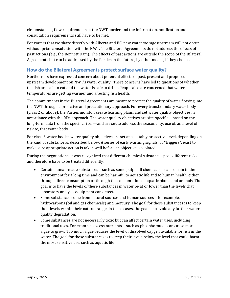circumstances, flow requirements at the NWT border and the information, notification and consultation requirements still have to be met.

For waters that we share directly with Alberta and BC, new water storage upstream will not occur without prior consultation with the NWT. The Bilateral Agreements do not address the effects of past actions (e.g., the Bennett Dam). The effects of past actions are outside the scope of the Bilateral Agreements but can be addressed by the Parties in the future, by other means, if they choose.

## **How do the Bilateral Agreements protect surface water quality?**

Northerners have expressed concern about potential effects of past, present and proposed upstream development on NWT's water quality. These concerns have led to questions of whether the fish are safe to eat and the water is safe to drink. People also are concerned that water temperatures are getting warmer and affecting fish health.

The commitments in the Bilateral Agreements are meant to protect the quality of water flowing into the NWT through a proactive and precautionary approach. For every transboundary water body (class 2 or above), the Parties monitor, create learning plans, and set water quality objectives in accordance with the RIM approach. The water quality objectives are site-specific—based on the long-term data from the specific river—and are set to address the seasonality, use of, and level of risk to, that water body.

For class 3 water bodies water quality objectives are set at a suitably protective level, depending on the kind of substance as described below. A series of early warning signals, or "triggers", exist to make sure appropriate action is taken well before an objective is violated.

During the negotiations, it was recognized that different chemical substances pose different risks and therefore have to be treated differently:

- Certain human-made substances—such as some pulp mill chemicals—can remain in the environment for a long time and can be harmful to aquatic life and to human health, either through direct consumption or through the consumption of aquatic plants and animals. The goal is to have the levels of these substances in water be at or lower than the levels that laboratory analysis equipment can detect.
- Some substances come from natural sources and human sources—for example, hydrocarbons (oil and gas chemicals) and mercury. The goal for these substances is to keep their levels within their natural range. In these cases, the goal is to avoid any further water quality degradation.
- Some substances are not necessarily toxic but can affect certain water uses, including traditional uses. For example, excess nutrients—such as phosphorous—can cause more algae to grow. Too much algae reduces the level of dissolved oxygen available for fish in the water. The goal for these substances is to keep their levels below the level that could harm the most sensitive use, such as aquatic life.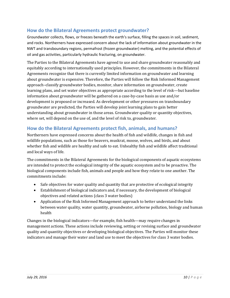## **How do the Bilateral Agreements protect groundwater?**

Groundwater collects, flows, or freezes beneath the earth's surface, filling the spaces in soil, sediment, and rocks. Northerners have expressed concern about the lack of information about groundwater in the NWT and transboundary regions, permafrost (frozen groundwater) melting, and the potential effects of oil and gas activities, particularly hydraulic fracturing, on groundwater.

The Parties to the Bilateral Agreements have agreed to use and share groundwater reasonably and equitably according to internationally used principles. However, the commitments in the Bilateral Agreements recognize that there is currently limited information on groundwater and learning about groundwater is expensive. Therefore, the Parties will follow the Risk Informed Management approach-classify groundwater bodies, monitor, share information on groundwater, create learning plans, and set water objectives as appropriate according to the level of risk—but baseline information about groundwater will be gathered on a case-by-case basis as use and/or development is proposed or increased. As development or other pressures on transboundary groundwater are predicted, the Parties will develop joint learning plans to gain better understanding about groundwater in those areas. Groundwater quality or quantity objectives, where set, will depend on the use of, and the level of risk to, groundwater.

## **How do the Bilateral Agreements protect fish, animals, and humans?**

Northerners have expressed concerns about the health of fish and wildlife, changes in fish and wildlife populations, such as those for beavers, muskrat, moose, wolves, and birds, and about whether fish and wildlife are healthy and safe to eat. Unhealthy fish and wildlife affect traditional and local ways of life.

The commitments in the Bilateral Agreements for the biological components of aquatic ecosystems are intended to protect the ecological integrity of the aquatic ecosystem and to be proactive. The biological components include fish, animals and people and how they relate to one another. The commitments include:

- Safe objectives for water quality and quantity that are protective of ecological integrity
- Establishment of biological indicators and, if necessary, the development of biological objectives and related actions (class 3 water bodies)
- Application of the Risk Informed Management approach to better understand the links between water quality, water quantity, groundwater, airborne pollution, biology and human health

Changes in the biological indicators—for example, fish health—may require changes in management actions. These actions include reviewing, setting or revising surface and groundwater quality and quantity objectives or developing biological objectives. The Parties will monitor these indicators and manage their water and land use to meet the objectives for class 3 water bodies.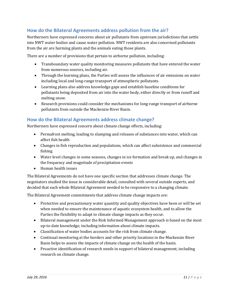## **How do the Bilateral Agreements address pollution from the air?**

Northerners have expressed concerns about air pollutants from upstream jurisdictions that settle into NWT water bodies and cause water pollution. NWT residents are also concerned pollutants from the air are harming plants and the animals eating those plants.

There are a number of provisions that pertain to airborne pollution, including:

- Transboundary water quality monitoring measures pollutants that have entered the water from numerous sources, including air.
- Through the learning plans, the Parties will assess the influences of air emissions on water including local and long-range transport of atmospheric pollutants.
- Learning plans also address knowledge gaps and establish baseline conditions for pollutants being deposited from air into the water body, either directly or from runoff and melting snow.
- Research provisions could consider the mechanisms for long-range transport of airborne pollutants from outside the Mackenzie River Basin.

### **How do the Bilateral Agreements address climate change?**

Northerners have expressed concern about climate change effects, including:

- Permafrost melting, leading to slumping and releases of substances into water, which can affect fish health
- Changes in fish reproduction and populations, which can affect subsistence and commercial fishing
- Water level changes in some seasons, changes in ice formation and break up, and changes in the frequency and magnitude of precipitation events
- Human health issues

The Bilateral Agreements do not have one specific section that addresses climate change. The negotiators studied the issue in considerable detail, consulted with several outside experts, and decided that each whole Bilateral Agreement needed to be responsive to a changing climate.

The Bilateral Agreement commitments that address climate change impacts are:

- Protective and precautionary water quantity and quality objectives have been or will be set when needed to ensure the maintenance of aquatic ecosystem health, and to allow the Parties the flexibility to adapt to climate change impacts as they occur.
- Bilateral management under the Risk Informed Management approach is based on the most up-to-date knowledge, including information about climate impacts.
- Classification of water bodies accounts for the risk from climate change.
- Continual monitoring at the borders and other priority locations in the Mackenzie River Basin helps to assess the impacts of climate change on the health of the basin.
- Proactive identification of research needs in support of bilateral management, including research on climate change.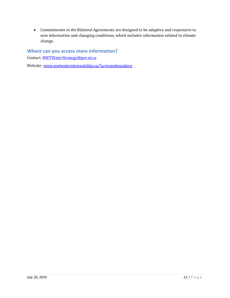• Commitments in the Bilateral Agreements are designed to be adaptive and responsive to new information and changing conditions, which includes information related to climate change. 

## **Where can you access more information?**

Contact: NWTWaterStrategy@gov.nt.ca

Website: www.nwtwaterstewardship.ca/?q=transboundary